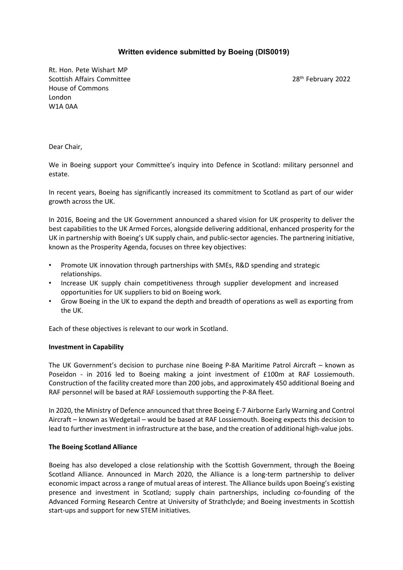# **Written evidence submitted by Boeing (DIS0019)**

Rt. Hon. Pete Wishart MP Scottish Affairs Committee 2002 28th February 2022 House of Commons London W1A 0AA

Dear Chair,

We in Boeing support your Committee's inquiry into Defence in Scotland: military personnel and estate.

In recent years, Boeing has significantly increased its commitment to Scotland as part of our wider growth across the UK.

In 2016, Boeing and the UK Government announced a shared vision for UK prosperity to deliver the best capabilities to the UK Armed Forces, alongside delivering additional, enhanced prosperity for the UK in partnership with Boeing's UK supply chain, and public-sector agencies. The partnering initiative, known as the Prosperity Agenda, focuses on three key objectives:

- Promote UK innovation through partnerships with SMEs, R&D spending and strategic relationships.
- Increase UK supply chain competitiveness through supplier development and increased opportunities for UK suppliers to bid on Boeing work.
- Grow Boeing in the UK to expand the depth and breadth of operations as well as exporting from the UK.

Each of these objectives is relevant to our work in Scotland.

### **Investment in Capability**

The UK Government's decision to purchase nine Boeing P-8A Maritime Patrol Aircraft – known as Poseidon - in 2016 led to Boeing making a joint investment of £100m at RAF Lossiemouth. Construction of the facility created more than 200 jobs, and approximately 450 additional Boeing and RAF personnel will be based at RAF Lossiemouth supporting the P-8A fleet.

In 2020, the Ministry of Defence announced that three Boeing E-7 Airborne Early Warning and Control Aircraft – known as Wedgetail – would be based at RAF Lossiemouth. Boeing expects this decision to lead to further investment in infrastructure at the base, and the creation of additional high-value jobs.

### **The Boeing Scotland Alliance**

Boeing has also developed a close relationship with the Scottish Government, through the Boeing Scotland Alliance. Announced in March 2020, the Alliance is a long-term partnership to deliver economic impact across a range of mutual areas of interest. The Alliance builds upon Boeing's existing presence and investment in Scotland; supply chain partnerships, including co-founding of the Advanced Forming Research Centre at University of Strathclyde; and Boeing investments in Scottish start-ups and support for new STEM initiatives.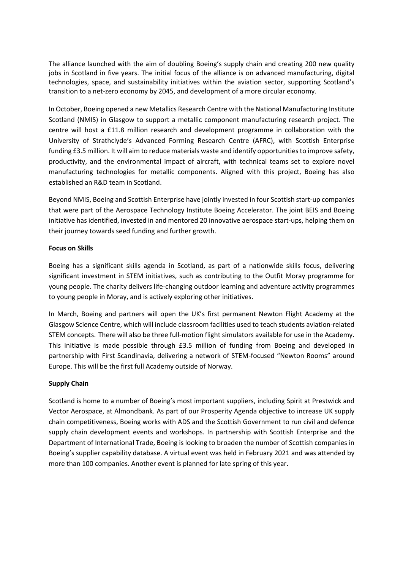The alliance launched with the aim of doubling Boeing's supply chain and creating 200 new quality jobs in Scotland in five years. The initial focus of the alliance is on advanced manufacturing, digital technologies, space, and sustainability initiatives within the aviation sector, supporting Scotland's transition to a net-zero economy by 2045, and development of a more circular economy.

In October, Boeing opened a new Metallics Research Centre with the National Manufacturing Institute Scotland (NMIS) in Glasgow to support a metallic component manufacturing research project. The centre will host a £11.8 million research and development programme in collaboration with the University of Strathclyde's Advanced Forming Research Centre (AFRC), with Scottish Enterprise funding £3.5 million. It will aim to reduce materials waste and identify opportunities to improve safety, productivity, and the environmental impact of aircraft, with technical teams set to explore novel manufacturing technologies for metallic components. Aligned with this project, Boeing has also established an R&D team in Scotland.

Beyond NMIS, Boeing and Scottish Enterprise have jointly invested in four Scottish start-up companies that were part of the Aerospace Technology Institute Boeing Accelerator. The joint BEIS and Boeing initiative has identified, invested in and mentored 20 innovative aerospace start-ups, helping them on their journey towards seed funding and further growth.

# **Focus on Skills**

Boeing has a significant skills agenda in Scotland, as part of a nationwide skills focus, delivering significant investment in STEM initiatives, such as contributing to the Outfit Moray programme for young people. The charity delivers life-changing outdoor learning and adventure activity programmes to young people in Moray, and is actively exploring other initiatives.

In March, Boeing and partners will open the UK's first permanent Newton Flight Academy at the Glasgow Science Centre, which will include classroom facilities used to teach students aviation-related STEM concepts. There will also be three full-motion flight simulators available for use in the Academy. This initiative is made possible through £3.5 million of funding from Boeing and developed in partnership with First Scandinavia, delivering a network of STEM-focused "Newton Rooms" around Europe. This will be the first full Academy outside of Norway.

### **Supply Chain**

Scotland is home to a number of Boeing's most important suppliers, including Spirit at Prestwick and Vector Aerospace, at Almondbank. As part of our Prosperity Agenda objective to increase UK supply chain competitiveness, Boeing works with ADS and the Scottish Government to run civil and defence supply chain development events and workshops. In partnership with Scottish Enterprise and the Department of International Trade, Boeing is looking to broaden the number of Scottish companies in Boeing's supplier capability database. A virtual event was held in February 2021 and was attended by more than 100 companies. Another event is planned for late spring of this year.